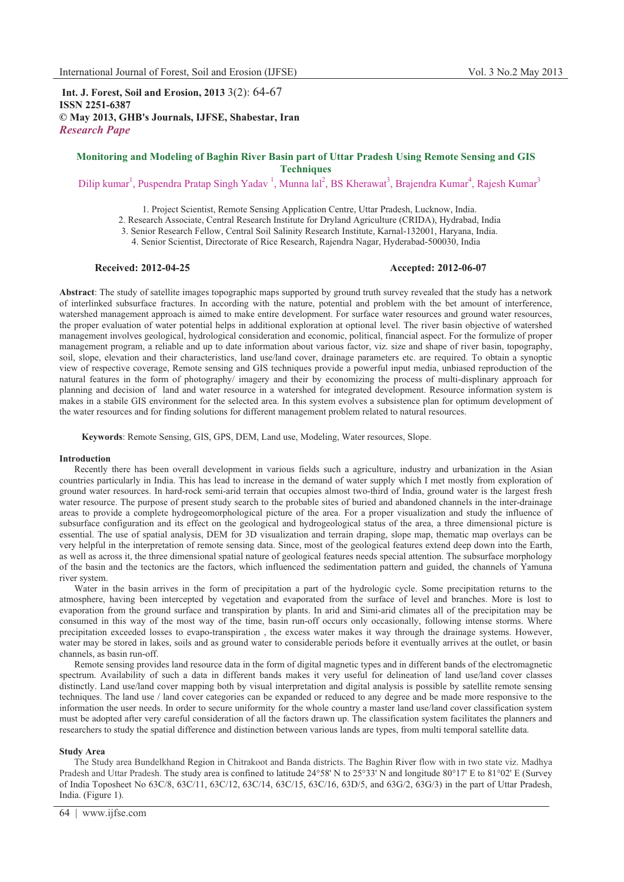**Int. J. Forest, Soil and Erosion, 2013** 3(2): 64-67 **ISSN 2251-6387 © May 2013, GHB's Journals, IJFSE, Shabestar, Iran** *Research Pape* 

# **Monitoring and Modeling of Baghin River Basin part of Uttar Pradesh Using Remote Sensing and GIS Techniques**

Dilip kumar<sup>1</sup>, Puspendra Pratap Singh Yadav<sup>1</sup>, Munna lal<sup>2</sup>, BS Kherawat<sup>3</sup>, Brajendra Kumar<sup>4</sup>, Rajesh Kumar<sup>3</sup>

1. Project Scientist, Remote Sensing Application Centre, Uttar Pradesh, Lucknow, India.

2. Research Associate, Central Research Institute for Dryland Agriculture (CRIDA), Hydrabad, India

3. Senior Research Fellow, Central Soil Salinity Research Institute, Karnal-132001, Haryana, India.

4. Senior Scientist, Directorate of Rice Research, Rajendra Nagar, Hyderabad-500030, India

# **Received: 2012-04-25 Accepted: 2012-06-07**

**Abstract**: The study of satellite images topographic maps supported by ground truth survey revealed that the study has a network of interlinked subsurface fractures. In according with the nature, potential and problem with the bet amount of interference, watershed management approach is aimed to make entire development. For surface water resources and ground water resources, the proper evaluation of water potential helps in additional exploration at optional level. The river basin objective of watershed management involves geological, hydrological consideration and economic, political, financial aspect. For the formulize of proper management program, a reliable and up to date information about various factor, viz. size and shape of river basin, topography, soil, slope, elevation and their characteristics, land use/land cover, drainage parameters etc. are required. To obtain a synoptic view of respective coverage, Remote sensing and GIS techniques provide a powerful input media, unbiased reproduction of the natural features in the form of photography/ imagery and their by economizing the process of multi-displinary approach for planning and decision of land and water resource in a watershed for integrated development. Resource information system is makes in a stabile GIS environment for the selected area. In this system evolves a subsistence plan for optimum development of the water resources and for finding solutions for different management problem related to natural resources.

**Keywords**: Remote Sensing, GIS, GPS, DEM, Land use, Modeling, Water resources, Slope.

# **Introduction**

Recently there has been overall development in various fields such a agriculture, industry and urbanization in the Asian countries particularly in India. This has lead to increase in the demand of water supply which I met mostly from exploration of ground water resources. In hard-rock semi-arid terrain that occupies almost two-third of India, ground water is the largest fresh water resource. The purpose of present study search to the probable sites of buried and abandoned channels in the inter-drainage areas to provide a complete hydrogeomorphological picture of the area. For a proper visualization and study the influence of subsurface configuration and its effect on the geological and hydrogeological status of the area, a three dimensional picture is essential. The use of spatial analysis, DEM for 3D visualization and terrain draping, slope map, thematic map overlays can be very helpful in the interpretation of remote sensing data. Since, most of the geological features extend deep down into the Earth, as well as across it, the three dimensional spatial nature of geological features needs special attention. The subsurface morphology of the basin and the tectonics are the factors, which influenced the sedimentation pattern and guided, the channels of Yamuna river system.

Water in the basin arrives in the form of precipitation a part of the hydrologic cycle. Some precipitation returns to the atmosphere, having been intercepted by vegetation and evaporated from the surface of level and branches. More is lost to evaporation from the ground surface and transpiration by plants. In arid and Simi-arid climates all of the precipitation may be consumed in this way of the most way of the time, basin run-off occurs only occasionally, following intense storms. Where precipitation exceeded losses to evapo-transpiration , the excess water makes it way through the drainage systems. However, water may be stored in lakes, soils and as ground water to considerable periods before it eventually arrives at the outlet, or basin channels, as basin run-off.

Remote sensing provides land resource data in the form of digital magnetic types and in different bands of the electromagnetic spectrum. Availability of such a data in different bands makes it very useful for delineation of land use/land cover classes distinctly. Land use/land cover mapping both by visual interpretation and digital analysis is possible by satellite remote sensing techniques. The land use / land cover categories can be expanded or reduced to any degree and be made more responsive to the information the user needs. In order to secure uniformity for the whole country a master land use/land cover classification system must be adopted after very careful consideration of all the factors drawn up. The classification system facilitates the planners and researchers to study the spatial difference and distinction between various lands are types, from multi temporal satellite data.

#### **Study Area**

The Study area Bundelkhand Region in Chitrakoot and Banda districts. The Baghin River flow with in two state viz. Madhya Pradesh and Uttar Pradesh. The study area is confined to latitude 24°58' N to 25°33' N and longitude 80°17' E to 81°02' E (Survey of India Toposheet No 63C/8, 63C/11, 63C/12, 63C/14, 63C/15, 63C/16, 63D/5, and 63G/2, 63G/3) in the part of Uttar Pradesh, India. (Figure 1).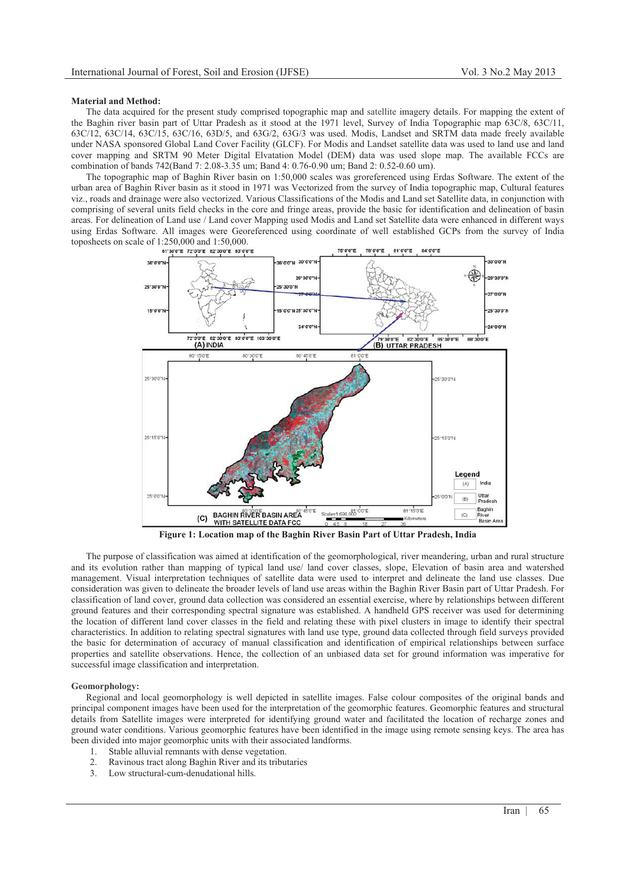#### **Material and Method:**

The data acquired for the present study comprised topographic map and satellite imagery details. For mapping the extent of the Baghin river basin part of Uttar Pradesh as it stood at the 1971 level, Survey of India Topographic map 63C/8, 63C/11, 63C/12, 63C/14, 63C/15, 63C/16, 63D/5, and 63G/2, 63G/3 was used. Modis, Landset and SRTM data made freely available under NASA sponsored Global Land Cover Facility (GLCF). For Modis and Landset satellite data was used to land use and land cover mapping and SRTM 90 Meter Digital Elvatation Model (DEM) data was used slope map. The available FCCs are combination of bands 742(Band 7: 2.08-3.35 um; Band 4: 0.76-0.90 um; Band 2: 0.52-0.60 um).

The topographic map of Baghin River basin on 1:50,000 scales was groreferenced using Erdas Software. The extent of the urban area of Baghin River basin as it stood in 1971 was Vectorized from the survey of India topographic map, Cultural features viz., roads and drainage were also vectorized. Various Classifications of the Modis and Land set Satellite data, in conjunction with comprising of several units field checks in the core and fringe areas, provide the basic for identification and delineation of basin areas. For delineation of Land use / Land cover Mapping used Modis and Land set Satellite data were enhanced in different ways using Erdas Software. All images were Georeferenced using coordinate of well established GCPs from the survey of India toposheets on scale of 1:250,000 and 1:50,000.<br>  $\frac{61°300°}{61°300°}$   $\frac{72°00°}{72°00°}$   $\frac{82°300°}{32°00°}$ 



**Figure 1: Location map of the Baghin River Basin Part of Uttar Pradesh, India** 

The purpose of classification was aimed at identification of the geomorphological, river meandering, urban and rural structure and its evolution rather than mapping of typical land use/ land cover classes, slope, Elevation of basin area and watershed management. Visual interpretation techniques of satellite data were used to interpret and delineate the land use classes. Due consideration was given to delineate the broader levels of land use areas within the Baghin River Basin part of Uttar Pradesh. For classification of land cover, ground data collection was considered an essential exercise, where by relationships between different ground features and their corresponding spectral signature was established. A handheld GPS receiver was used for determining the location of different land cover classes in the field and relating these with pixel clusters in image to identify their spectral characteristics. In addition to relating spectral signatures with land use type, ground data collected through field surveys provided the basic for determination of accuracy of manual classification and identification of empirical relationships between surface properties and satellite observations. Hence, the collection of an unbiased data set for ground information was imperative for successful image classification and interpretation.

#### **Geomorphology:**

Regional and local geomorphology is well depicted in satellite images. False colour composites of the original bands and principal component images have been used for the interpretation of the geomorphic features. Geomorphic features and structural details from Satellite images were interpreted for identifying ground water and facilitated the location of recharge zones and ground water conditions. Various geomorphic features have been identified in the image using remote sensing keys. The area has been divided into major geomorphic units with their associated landforms.

- 1. Stable alluvial remnants with dense vegetation.
- 2. Ravinous tract along Baghin River and its tributaries<br>3. Low structural-cum-denudational hills.
- Low structural-cum-denudational hills.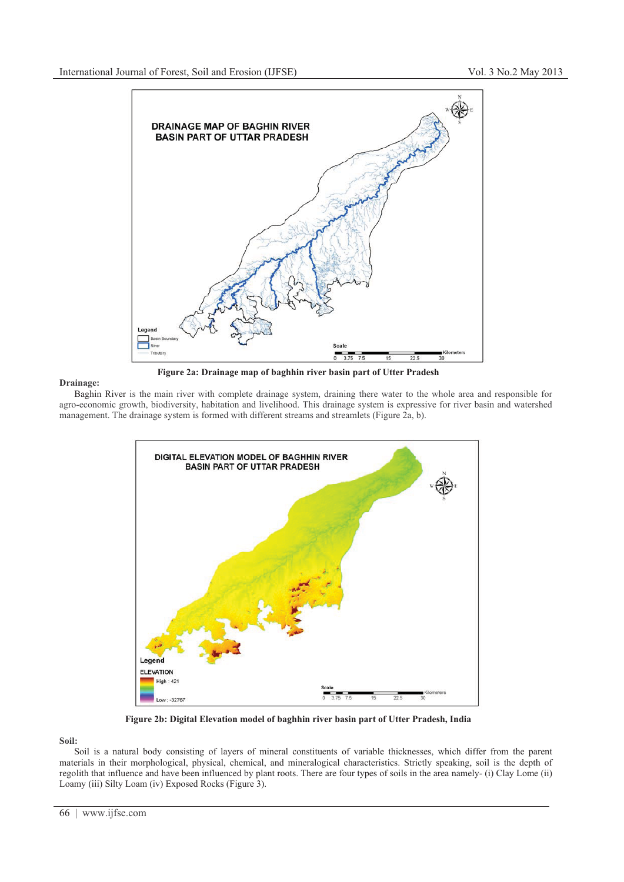

# **Drainage:**

Baghin River is the main river with complete drainage system, draining there water to the whole area and responsible for agro-economic growth, biodiversity, habitation and livelihood. This drainage system is expressive for river basin and watershed management. The drainage system is formed with different streams and streamlets (Figure 2a, b).



**Figure 2b: Digital Elevation model of baghhin river basin part of Utter Pradesh, India**

**Soil:**

Soil is a natural body consisting of layers of mineral constituents of variable thicknesses, which differ from the parent materials in their morphological, physical, chemical, and mineralogical characteristics. Strictly speaking, soil is the depth of regolith that influence and have been influenced by plant roots. There are four types of soils in the area namely- (i) Clay Lome (ii) Loamy (iii) Silty Loam (iv) Exposed Rocks (Figure 3).